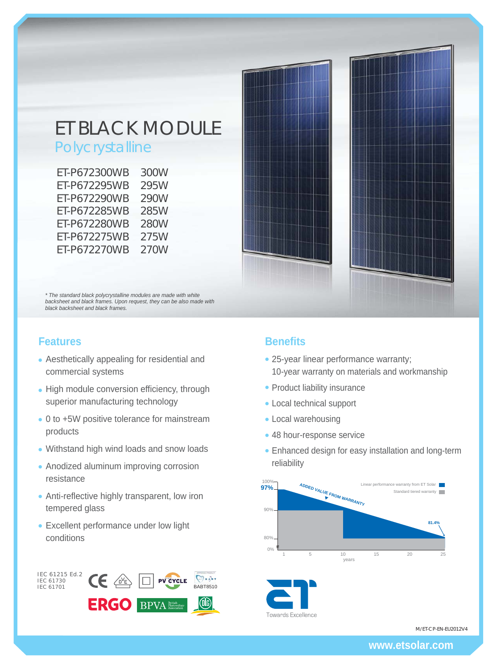# ET BLACK MODULE

## Polycrystalline

| ET-P672300WB | 300W |
|--------------|------|
| ET-P672295WB | 295W |
| ET-P672290WB | 290W |
| ET-P672285WB | 285W |
| ET-P672280WB | 280W |
| ET-P672275WB | 275W |
| ET-P672270WB | 270W |

*\* The standard black polycrystalline modules are made with white backsheet and black frames. Upon request, they can be also made with black backsheet and black frames.*

## **Features**

- Aesthetically appealing for residential and commercial systems
- High module conversion efficiency, through superior manufacturing technology
- 0 to +5W positive tolerance for mainstream products
- Withstand high wind loads and snow loads
- Anodized aluminum improving corrosion resistance
- Anti-reflective highly transparent, low iron tempered glass
- Excellent performance under low light conditions



## **Benefits**

- 25-year linear performance warranty; 10-year warranty on materials and workmanship
- Product liability insurance
- Local technical support
- Local warehousing
- 48 hour-response service
- Enhanced design for easy installation and long-term reliability





M/ET-CP-EN-EU2012V4